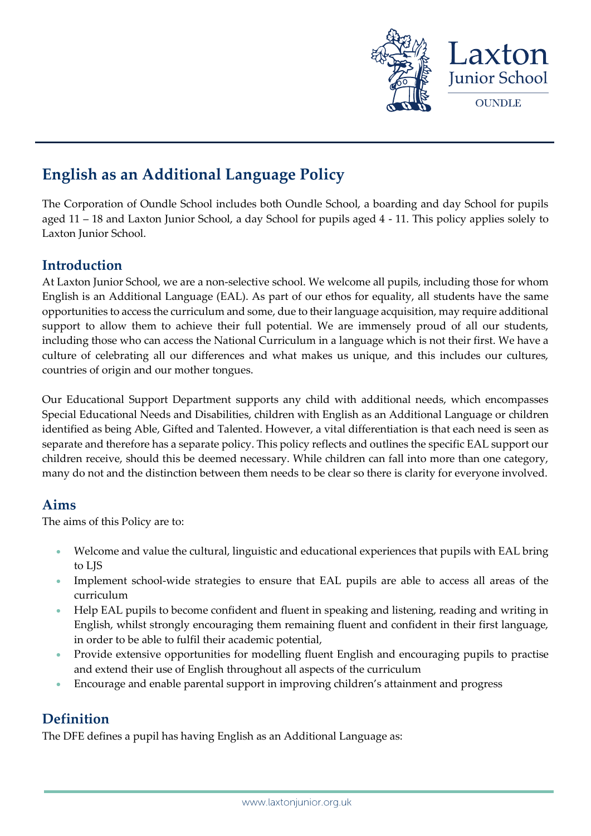

# **English as an Additional Language Policy**

The Corporation of Oundle School includes both Oundle School, a boarding and day School for pupils aged 11 – 18 and Laxton Junior School, a day School for pupils aged 4 - 11. This policy applies solely to Laxton Junior School.

# **Introduction**

At Laxton Junior School, we are a non-selective school. We welcome all pupils, including those for whom English is an Additional Language (EAL). As part of our ethos for equality, all students have the same opportunities to access the curriculum and some, due to their language acquisition, may require additional support to allow them to achieve their full potential. We are immensely proud of all our students, including those who can access the National Curriculum in a language which is not their first. We have a culture of celebrating all our differences and what makes us unique, and this includes our cultures, countries of origin and our mother tongues.

Our Educational Support Department supports any child with additional needs, which encompasses Special Educational Needs and Disabilities, children with English as an Additional Language or children identified as being Able, Gifted and Talented. However, a vital differentiation is that each need is seen as separate and therefore has a separate policy. This policy reflects and outlines the specific EAL support our children receive, should this be deemed necessary. While children can fall into more than one category, many do not and the distinction between them needs to be clear so there is clarity for everyone involved.

# **Aims**

The aims of this Policy are to:

- Welcome and value the cultural, linguistic and educational experiences that pupils with EAL bring to LJS
- Implement school-wide strategies to ensure that EAL pupils are able to access all areas of the curriculum
- Help EAL pupils to become confident and fluent in speaking and listening, reading and writing in English, whilst strongly encouraging them remaining fluent and confident in their first language, in order to be able to fulfil their academic potential,
- Provide extensive opportunities for modelling fluent English and encouraging pupils to practise and extend their use of English throughout all aspects of the curriculum
- Encourage and enable parental support in improving children's attainment and progress

# **Definition**

The DFE defines a pupil has having English as an Additional Language as: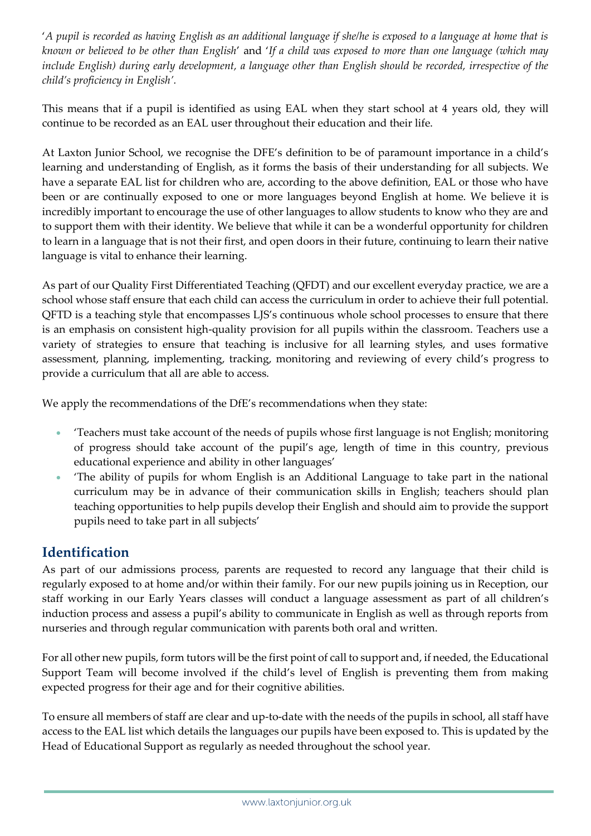'*A pupil is recorded as having English as an additional language if she/he is exposed to a language at home that is known or believed to be other than English*' and '*If a child was exposed to more than one language (which may include English) during early development, a language other than English should be recorded, irrespective of the child's proficiency in English'.*

This means that if a pupil is identified as using EAL when they start school at 4 years old, they will continue to be recorded as an EAL user throughout their education and their life.

At Laxton Junior School, we recognise the DFE's definition to be of paramount importance in a child's learning and understanding of English, as it forms the basis of their understanding for all subjects. We have a separate EAL list for children who are, according to the above definition, EAL or those who have been or are continually exposed to one or more languages beyond English at home. We believe it is incredibly important to encourage the use of other languages to allow students to know who they are and to support them with their identity. We believe that while it can be a wonderful opportunity for children to learn in a language that is not their first, and open doors in their future, continuing to learn their native language is vital to enhance their learning.

As part of our Quality First Differentiated Teaching (QFDT) and our excellent everyday practice, we are a school whose staff ensure that each child can access the curriculum in order to achieve their full potential. QFTD is a teaching style that encompasses LJS's continuous whole school processes to ensure that there is an emphasis on consistent high-quality provision for all pupils within the classroom. Teachers use a variety of strategies to ensure that teaching is inclusive for all learning styles, and uses formative assessment, planning, implementing, tracking, monitoring and reviewing of every child's progress to provide a curriculum that all are able to access.

We apply the recommendations of the DfE's recommendations when they state:

- 'Teachers must take account of the needs of pupils whose first language is not English; monitoring of progress should take account of the pupil's age, length of time in this country, previous educational experience and ability in other languages'
- 'The ability of pupils for whom English is an Additional Language to take part in the national curriculum may be in advance of their communication skills in English; teachers should plan teaching opportunities to help pupils develop their English and should aim to provide the support pupils need to take part in all subjects'

# **Identification**

As part of our admissions process, parents are requested to record any language that their child is regularly exposed to at home and/or within their family. For our new pupils joining us in Reception, our staff working in our Early Years classes will conduct a language assessment as part of all children's induction process and assess a pupil's ability to communicate in English as well as through reports from nurseries and through regular communication with parents both oral and written.

For all other new pupils, form tutors will be the first point of call to support and, if needed, the Educational Support Team will become involved if the child's level of English is preventing them from making expected progress for their age and for their cognitive abilities.

To ensure all members of staff are clear and up-to-date with the needs of the pupils in school, all staff have access to the EAL list which details the languages our pupils have been exposed to. This is updated by the Head of Educational Support as regularly as needed throughout the school year.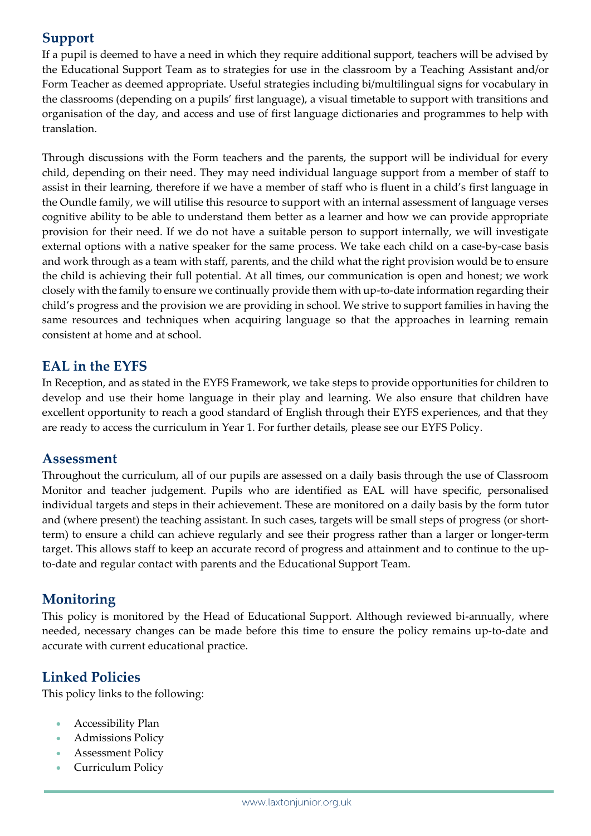# **Support**

If a pupil is deemed to have a need in which they require additional support, teachers will be advised by the Educational Support Team as to strategies for use in the classroom by a Teaching Assistant and/or Form Teacher as deemed appropriate. Useful strategies including bi/multilingual signs for vocabulary in the classrooms (depending on a pupils' first language), a visual timetable to support with transitions and organisation of the day, and access and use of first language dictionaries and programmes to help with translation.

Through discussions with the Form teachers and the parents, the support will be individual for every child, depending on their need. They may need individual language support from a member of staff to assist in their learning, therefore if we have a member of staff who is fluent in a child's first language in the Oundle family, we will utilise this resource to support with an internal assessment of language verses cognitive ability to be able to understand them better as a learner and how we can provide appropriate provision for their need. If we do not have a suitable person to support internally, we will investigate external options with a native speaker for the same process. We take each child on a case-by-case basis and work through as a team with staff, parents, and the child what the right provision would be to ensure the child is achieving their full potential. At all times, our communication is open and honest; we work closely with the family to ensure we continually provide them with up-to-date information regarding their child's progress and the provision we are providing in school. We strive to support families in having the same resources and techniques when acquiring language so that the approaches in learning remain consistent at home and at school.

# **EAL in the EYFS**

In Reception, and as stated in the EYFS Framework, we take steps to provide opportunities for children to develop and use their home language in their play and learning. We also ensure that children have excellent opportunity to reach a good standard of English through their EYFS experiences, and that they are ready to access the curriculum in Year 1. For further details, please see our EYFS Policy.

#### **Assessment**

Throughout the curriculum, all of our pupils are assessed on a daily basis through the use of Classroom Monitor and teacher judgement. Pupils who are identified as EAL will have specific, personalised individual targets and steps in their achievement. These are monitored on a daily basis by the form tutor and (where present) the teaching assistant. In such cases, targets will be small steps of progress (or shortterm) to ensure a child can achieve regularly and see their progress rather than a larger or longer-term target. This allows staff to keep an accurate record of progress and attainment and to continue to the upto-date and regular contact with parents and the Educational Support Team.

# **Monitoring**

This policy is monitored by the Head of Educational Support. Although reviewed bi-annually, where needed, necessary changes can be made before this time to ensure the policy remains up-to-date and accurate with current educational practice.

# **Linked Policies**

This policy links to the following:

- Accessibility Plan
- Admissions Policy
- Assessment Policy
- Curriculum Policy